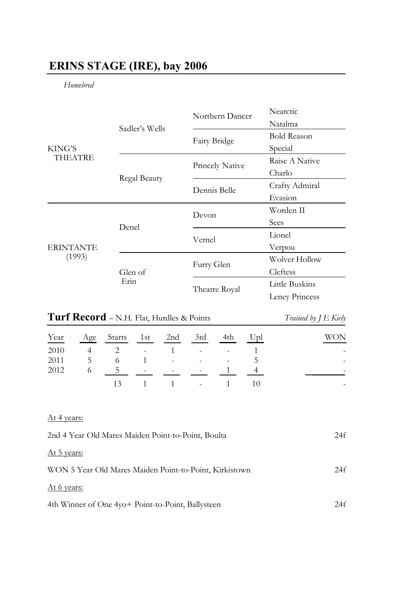# **ERINS STAGE (IRE), bay 2006**

*Homebred*

| KING'S<br><b>THEATRE</b>   |                | Northern Dancer | Nearctic           |
|----------------------------|----------------|-----------------|--------------------|
|                            | Sadler's Wells |                 | Natalma            |
|                            |                | Fairy Bridge    | <b>Bold Reason</b> |
|                            |                |                 | Special            |
|                            |                | Princely Native | Raise A Native     |
|                            | Regal Beauty   |                 | Charlo             |
|                            |                | Dennis Belle    | Crafty Admiral     |
|                            |                |                 | Evasion            |
| <b>ERINTANTE</b><br>(1993) | Denel          | Devon           | Worden II          |
|                            |                |                 | Sees               |
|                            |                | Vernel          | Lionel             |
|                            |                |                 | Verpou             |
|                            | Glen of        | Furry Glen      | Wolver Hollow      |
|                            |                |                 | Cleftess           |
|                            | Erin           | Theatre Royal   | Little Buskins     |
|                            |                |                 | Leney Princess     |

# **Turf Record** – N.H. Flat, Hurdles & Points *Trained by J E Kiely*

|      |                   | Year Age Starts 1st 2nd 3rd |                      | 4th | Upl | WON                      |
|------|-------------------|-----------------------------|----------------------|-----|-----|--------------------------|
| 2010 |                   | 4 2 - 1 - -                 |                      |     |     | $\overline{\phantom{a}}$ |
| 2011 | $5 \qquad \qquad$ |                             | $6 \t 1 \t - \t 5$   |     |     |                          |
| 2012 |                   |                             | 5 - - - -            |     |     |                          |
|      |                   |                             | $13 \t 1 \t 1 \t -1$ |     |     | ۰                        |

## At 4 years:

| 2nd 4 Year Old Mares Maiden Point-to-Point, Boulta     | 24f |
|--------------------------------------------------------|-----|
| At 5 years:                                            |     |
| WON 5 Year Old Mares Maiden Point-to-Point, Kirkistown | 24f |
| At 6 years:                                            |     |
| 4th Winner of One 4yo+ Point-to-Point, Ballysteen      | 24f |